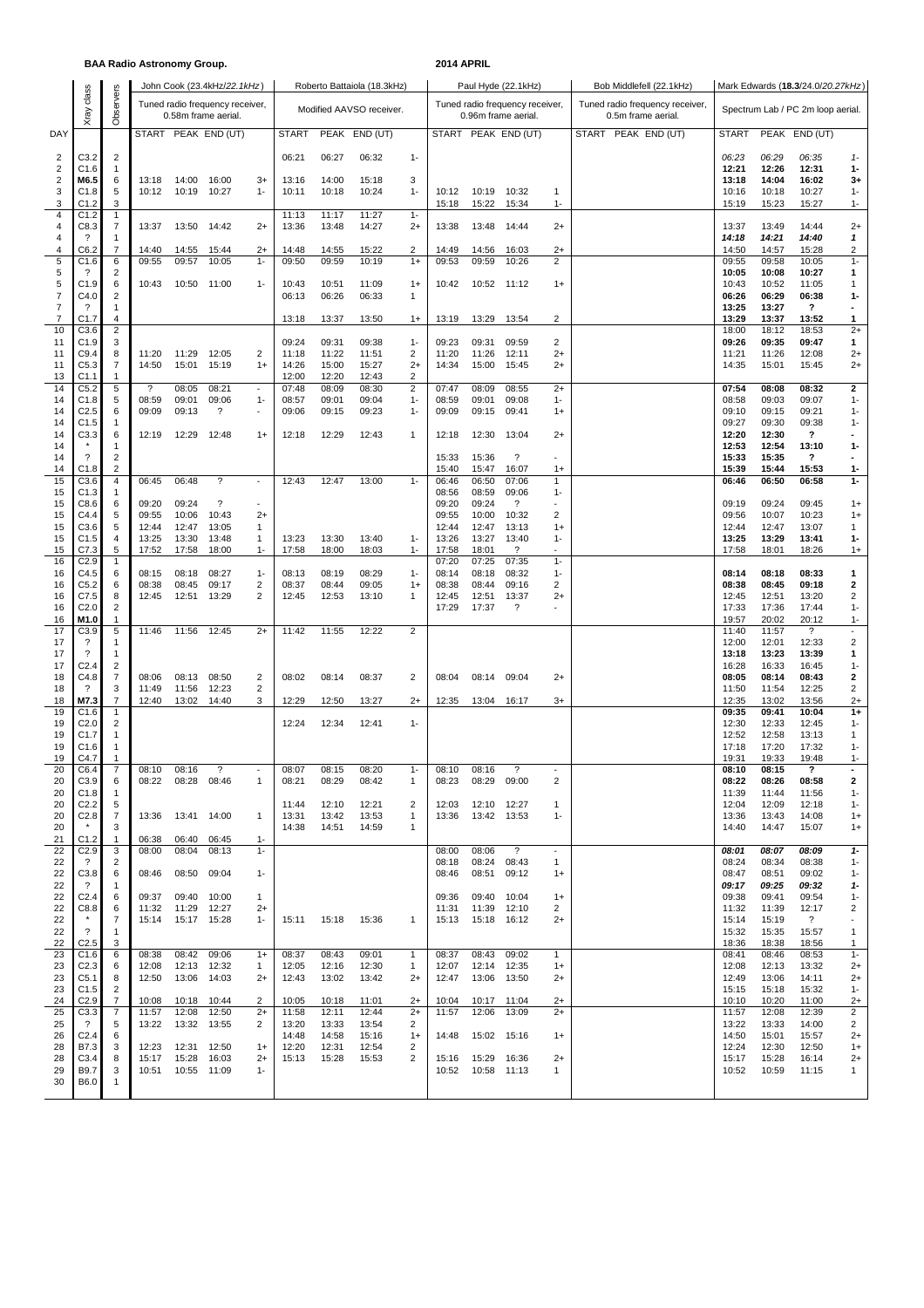### **BAA Radio Astronomy Group. 2014 APRIL**

|                                  |                                      |                                | John Cook (23.4kHz/22.1kHz) |                |                                                        |                          |                          |                | Roberto Battaiola (18.3kHz) |                   |                          |                                   |                                                        |                          |                                                       |                                   |                |                           |                          |  |  |  |
|----------------------------------|--------------------------------------|--------------------------------|-----------------------------|----------------|--------------------------------------------------------|--------------------------|--------------------------|----------------|-----------------------------|-------------------|--------------------------|-----------------------------------|--------------------------------------------------------|--------------------------|-------------------------------------------------------|-----------------------------------|----------------|---------------------------|--------------------------|--|--|--|
|                                  | class                                |                                |                             |                |                                                        |                          |                          |                | Paul Hyde (22.1kHz)         |                   | Bob Middlefell (22.1kHz) | Mark Edwards (18.3/24.0/20.27kHz) |                                                        |                          |                                                       |                                   |                |                           |                          |  |  |  |
|                                  | Xray                                 | Observers                      |                             |                | Tuned radio frequency receiver,<br>0.58m frame aerial. |                          | Modified AAVSO receiver. |                |                             |                   |                          |                                   | Tuned radio frequency receiver,<br>0.96m frame aerial. |                          | Tuned radio frequency receiver,<br>0.5m frame aerial. | Spectrum Lab / PC 2m loop aerial. |                |                           |                          |  |  |  |
| DAY                              |                                      |                                |                             |                | START PEAK END (UT)                                    |                          | <b>START</b>             |                | PEAK END (UT)               |                   |                          |                                   | START PEAK END (UT)                                    |                          | START PEAK END (UT)                                   | <b>START</b>                      |                | PEAK END (UT)             |                          |  |  |  |
|                                  |                                      |                                |                             |                |                                                        |                          |                          |                |                             |                   |                          |                                   |                                                        |                          |                                                       |                                   |                |                           |                          |  |  |  |
| $\overline{2}$<br>$\overline{2}$ | C3.2<br>C1.6                         | $\overline{2}$                 |                             |                |                                                        |                          | 06:21                    | 06:27          | 06:32                       | $1 -$             |                          |                                   |                                                        |                          |                                                       | 06:23<br>12:21                    | 06:29          | 06:35<br>12:31            | $1-$<br>$1-$             |  |  |  |
| $\overline{2}$                   | M6.5                                 | $\mathbf{1}$<br>6              | 13:18                       | 14:00          | 16:00                                                  | $3+$                     | 13:16                    | 14:00          | 15:18                       | 3                 |                          |                                   |                                                        |                          |                                                       | 13:18                             | 12:26<br>14:04 | 16:02                     | $3+$                     |  |  |  |
| 3                                | C1.8                                 | 5                              | 10:12                       | 10:19          | 10:27                                                  | $1 -$                    | 10:11                    | 10:18          | 10:24                       | $1 -$             | 10:12                    | 10:19                             | 10:32                                                  | $\mathbf{1}$             |                                                       | 10:16                             | 10:18          | 10:27                     | $1 -$                    |  |  |  |
| 3                                | C1.2                                 | 3                              |                             |                |                                                        |                          |                          |                |                             |                   | 15:18                    | 15:22                             | 15:34                                                  | $1 -$                    |                                                       | 15:19                             | 15:23          | 15:27                     | $1 -$                    |  |  |  |
| 4<br>$\overline{4}$              | C1.2<br>C8.3                         | $\mathbf{1}$<br>7              | 13:37                       | 13:50          | 14:42                                                  | $2+$                     | 11:13<br>13:36           | 11:17<br>13:48 | 11:27<br>14:27              | $1 -$<br>$2+$     | 13:38                    | 13:48                             | 14:44                                                  | $2+$                     |                                                       | 13:37                             | 13:49          | 14:44                     | $2+$                     |  |  |  |
| $\overline{4}$                   | $\overline{\phantom{a}}$             | $\overline{1}$                 |                             |                |                                                        |                          |                          |                |                             |                   |                          |                                   |                                                        |                          |                                                       | 14:18                             | 14:21          | 14:40                     | 1                        |  |  |  |
| 4                                | C6.2                                 | 7                              | 14:40                       | 14:55          | 15:44                                                  | $2+$                     | 14:48                    | 14:55          | 15:22                       | 2                 | 14:49                    | 14:56                             | 16:03                                                  | $2+$                     |                                                       | 14:50                             | 14:57          | 15:28                     | 2                        |  |  |  |
| 5<br>5                           | C1.6<br>?                            | 6<br>$\overline{c}$            | 09:55                       | 09:57          | 10:05                                                  | $1 -$                    | 09:50                    | 09:59          | 10:19                       | $1+$              | 09:53                    | 09:59                             | 10:26                                                  | $\overline{2}$           |                                                       | 09:55<br>10:05                    | 09:58<br>10:08 | 10:05<br>10:27            | $1 -$<br>1               |  |  |  |
| 5                                | C1.9                                 | 6                              | 10:43                       | 10:50 11:00    |                                                        | $1 -$                    | 10:43                    | 10:51          | 11:09                       | $1+$              | 10:42                    | 10:52 11:12                       |                                                        | $1+$                     |                                                       | 10:43                             | 10:52          | 11:05                     | 1                        |  |  |  |
| $\overline{7}$                   | C4.0                                 | $\overline{c}$                 |                             |                |                                                        |                          | 06:13                    | 06:26          | 06:33                       | $\mathbf{1}$      |                          |                                   |                                                        |                          |                                                       | 06:26                             | 06:29          | 06:38                     | 1-                       |  |  |  |
| $\overline{7}$<br>$\overline{7}$ | ?<br>C1.7                            | $\mathbf{1}$<br>$\overline{4}$ |                             |                |                                                        |                          | 13:18                    | 13:37          | 13:50                       | $1+$              | 13:19                    | 13:29                             | 13:54                                                  | $\overline{2}$           |                                                       | 13:25<br>13:29                    | 13:27<br>13:37 | ?<br>13:52                | 1                        |  |  |  |
| 10                               | C3.6                                 | $\overline{c}$                 |                             |                |                                                        |                          |                          |                |                             |                   |                          |                                   |                                                        |                          |                                                       | 18:00                             | 18:12          | 18:53                     | $2+$                     |  |  |  |
| 11                               | C1.9                                 | 3                              |                             |                |                                                        |                          | 09:24                    | 09:31          | 09:38                       | $1 -$             | 09:23                    | 09:31                             | 09:59                                                  | $\overline{2}$           |                                                       | 09:26                             | 09:35          | 09:47                     | 1                        |  |  |  |
| 11<br>11                         | C9.4<br>C5.3                         | 8<br>7                         | 11:20<br>14:50              | 11:29<br>15:01 | 12:05<br>15:19                                         | 2<br>$1+$                | 11:18<br>14:26           | 11:22<br>15:00 | 11:51<br>15:27              | 2<br>$2+$         | 11:20<br>14:34           | 11:26<br>15:00                    | 12:11<br>15:45                                         | $2+$<br>$2+$             |                                                       | 11:21<br>14:35                    | 11:26<br>15:01 | 12:08<br>15:45            | $^{2+}$<br>$^{2+}$       |  |  |  |
| 13                               | C <sub>1.1</sub>                     | $\mathbf{1}$                   |                             |                |                                                        |                          | 12:00                    | 12:20          | 12:43                       | 2                 |                          |                                   |                                                        |                          |                                                       |                                   |                |                           |                          |  |  |  |
| 14                               | C5.2                                 | $\sqrt{5}$                     | $\overline{\cdot}$          | 08:05          | 08:21                                                  | $\blacksquare$           | 07:48                    | 08:09          | 08:30                       | $\overline{2}$    | 07:47                    | 08:09                             | 08:55                                                  | $2+$                     |                                                       | 07:54                             | 08:08          | 08:32                     | $\mathbf 2$              |  |  |  |
| 14                               | C <sub>1.8</sub>                     | 5                              | 08:59                       | 09:01          | 09:06                                                  | $1 -$                    | 08:57                    | 09:01          | 09:04                       | $1 -$             | 08:59                    | 09:01                             | 09:08                                                  | $1 -$                    |                                                       | 08:58                             | 09:03          | 09:07                     | $1 -$                    |  |  |  |
| 14<br>14                         | C <sub>2.5</sub><br>C <sub>1.5</sub> | 6<br>$\mathbf{1}$              | 09:09                       | 09:13          | ?                                                      |                          | 09:06                    | 09:15          | 09:23                       | $1 -$             | 09:09                    | 09:15                             | 09:41                                                  | $1+$                     |                                                       | 09:10<br>09:27                    | 09:15<br>09:30 | 09:21<br>09:38            | $1 -$<br>$1 -$           |  |  |  |
| 14                               | C3.3                                 | 6                              | 12:19                       | 12:29          | 12:48                                                  | $1+$                     | 12:18                    | 12:29          | 12:43                       | $\mathbf{1}$      | 12:18                    | 12:30                             | 13:04                                                  | $2+$                     |                                                       | 12:20                             | 12:30          | ?                         |                          |  |  |  |
| 14                               |                                      | $\mathbf{1}$                   |                             |                |                                                        |                          |                          |                |                             |                   |                          |                                   |                                                        |                          |                                                       | 12:53                             | 12:54          | 13:10                     | 1-                       |  |  |  |
| 14                               | $\overline{\phantom{0}}$             | $\overline{2}$                 |                             |                |                                                        |                          |                          |                |                             |                   | 15:33                    | 15:36                             | $\overline{?}$                                         |                          |                                                       | 15:33                             | 15:35          | $\overline{\mathbf{?}}$   |                          |  |  |  |
| 14<br>15                         | C1.8<br>C3.6                         | 2<br>$\overline{4}$            | 06:45                       | 06:48          | $\overline{\phantom{a}}$                               | $\sim$                   | 12:43                    | 12:47          | 13:00                       | $1 -$             | 15:40<br>06:46           | 15:47<br>06:50                    | 16:07<br>07:06                                         | $1+$<br>$\mathbf{1}$     |                                                       | 15:39<br>06:46                    | 15:44<br>06:50 | 15:53<br>06:58            | $1-$<br>$1 -$            |  |  |  |
| 15                               | C1.3                                 | -1                             |                             |                |                                                        |                          |                          |                |                             |                   | 08:56                    | 08:59                             | 09:06                                                  | $1 -$                    |                                                       |                                   |                |                           |                          |  |  |  |
| 15                               | C8.6                                 | 6                              | 09:20                       | 09:24          | $\overline{\phantom{a}}$                               | $\overline{\phantom{a}}$ |                          |                |                             |                   | 09:20                    | 09:24                             | $\overline{\mathcal{E}}$                               |                          |                                                       | 09:19                             | 09:24          | 09:45                     | $1+$                     |  |  |  |
| 15                               | C4.4                                 | 5                              | 09:55                       | 10:06          | 10:43                                                  | $2+$                     |                          |                |                             |                   | 09:55                    | 10:00                             | 10:32                                                  | 2                        |                                                       | 09:56                             | 10:07          | 10:23                     | $1+$                     |  |  |  |
| 15<br>15                         | C3.6<br>C1.5                         | 5<br>4                         | 12:44<br>13:25              | 12:47<br>13:30 | 13:05<br>13:48                                         | 1<br>1                   | 13:23                    | 13:30          | 13:40                       | $1 -$             | 12:44<br>13:26           | 12:47<br>13:27                    | 13:13<br>13:40                                         | $1+$<br>$1 -$            |                                                       | 12:44<br>13:25                    | 12:47<br>13:29 | 13:07<br>13:41            | 1<br>$1 -$               |  |  |  |
| 15                               | C7.3                                 | 5                              | 17:52                       | 17:58          | 18:00                                                  | $1 -$                    | 17:58                    | 18:00          | 18:03                       | $1 -$             | 17:58                    | 18:01                             | $\ddot{\phantom{0}}$                                   |                          |                                                       | 17:58                             | 18:01          | 18:26                     | $1+$                     |  |  |  |
| 16                               | C <sub>2.9</sub>                     | $\mathbf{1}$                   |                             |                |                                                        |                          |                          |                |                             |                   | 07:20                    | 07:25                             | 07:35                                                  | $1 -$                    |                                                       |                                   |                |                           |                          |  |  |  |
| 16                               | C4.5                                 | 6                              | 08:15                       | 08:18          | 08:27                                                  | $1 -$                    | 08:13                    | 08:19          | 08:29                       | $1 -$             | 08:14                    | 08:18                             | 08:32                                                  | $1 -$                    |                                                       | 08:14                             | 08:18          | 08:33                     | $\mathbf{1}$             |  |  |  |
| 16<br>16                         | C <sub>5.2</sub><br>C7.5             | 6<br>8                         | 08:38<br>12:45              | 08:45<br>12:51 | 09:17<br>13:29                                         | $\overline{c}$<br>2      | 08:37<br>12:45           | 08:44<br>12:53 | 09:05<br>13:10              | $1+$<br>1         | 08:38<br>12:45           | 08:44<br>12:51                    | 09:16<br>13:37                                         | $\overline{c}$<br>$2+$   |                                                       | 08:38<br>12:45                    | 08:45<br>12:51 | 09:18<br>13:20            | 2<br>2                   |  |  |  |
| 16                               | C <sub>2.0</sub>                     | $\overline{c}$                 |                             |                |                                                        |                          |                          |                |                             |                   | 17:29                    | 17:37                             | ?                                                      |                          |                                                       | 17:33                             | 17:36          | 17:44                     | $1 -$                    |  |  |  |
| 16                               | M1.0                                 | $\mathbf{1}$                   |                             |                |                                                        |                          |                          |                |                             |                   |                          |                                   |                                                        |                          |                                                       | 19:57                             | 20:02          | 20:12                     | $1 -$                    |  |  |  |
| 17                               | C3.9                                 | 5                              | 11:46                       | 11:56          | 12:45                                                  | $2+$                     | 11:42                    | 11:55          | 12:22                       | $\overline{2}$    |                          |                                   |                                                        |                          |                                                       | 11:40                             | 11:57          | ?                         | $\overline{\phantom{a}}$ |  |  |  |
| 17<br>17                         | ?<br>?                               | $\mathbf{1}$<br>$\mathbf{1}$   |                             |                |                                                        |                          |                          |                |                             |                   |                          |                                   |                                                        |                          |                                                       | 12:00<br>13:18                    | 12:01<br>13:23 | 12:33<br>13:39            | 2<br>1                   |  |  |  |
| 17                               | C <sub>2.4</sub>                     | $\overline{c}$                 |                             |                |                                                        |                          |                          |                |                             |                   |                          |                                   |                                                        |                          |                                                       | 16:28                             | 16:33          | 16:45                     | $1 -$                    |  |  |  |
| 18                               | C4.8                                 | 7                              | 08:06                       | 08:13          | 08:50                                                  | 2                        | 08:02                    | 08:14          | 08:37                       | 2                 | 08:04                    | 08:14                             | 09:04                                                  | $2+$                     |                                                       | 08:05                             | 08:14          | 08:43                     | 2                        |  |  |  |
| 18<br>18                         | $\overline{\mathcal{L}}$<br>M7.3     | 3<br>$\overline{7}$            | 11:49<br>12:40              | 11:56<br>13:02 | 12:23<br>14:40                                         | 2<br>3                   | 12:29                    | 12:50          | 13:27                       | $2+$              | 12:35                    | 13:04                             | 16:17                                                  | $3+$                     |                                                       | 11:50<br>12:35                    | 11:54<br>13:02 | 12:25<br>13:56            | 2<br>$2+$                |  |  |  |
| 19                               | C1.6                                 | $\mathbf{1}$                   |                             |                |                                                        |                          |                          |                |                             |                   |                          |                                   |                                                        |                          |                                                       | 09:35                             | 09:41          | 10:04                     | $1+$                     |  |  |  |
| 19                               | C <sub>2.0</sub>                     | 2                              |                             |                |                                                        |                          | 12:24                    | 12:34          | 12:41                       | $1 -$             |                          |                                   |                                                        |                          |                                                       | 12:30                             | 12:33          | 12:45                     | $1 -$                    |  |  |  |
| 19                               | C <sub>1.7</sub>                     | $\mathbf{1}$                   |                             |                |                                                        |                          |                          |                |                             |                   |                          |                                   |                                                        |                          |                                                       | 12:52                             | 12:58          | 13:13                     | 1                        |  |  |  |
| 19<br>19                         | C1.6<br>C4.7                         | $\mathbf{1}$<br>$\mathbf{1}$   |                             |                |                                                        |                          |                          |                |                             |                   |                          |                                   |                                                        |                          |                                                       | 17:18<br>19:31                    | 17:20<br>19:33 | 17:32<br>19:48            | $1 -$<br>$1 -$           |  |  |  |
| 20                               | C6.4                                 | $\overline{7}$                 | 08:10                       | 08:16          | $\overline{\phantom{a}}$                               |                          | 08:07                    | 08:15          | 08:20                       | $1 -$             | 08:10                    | 08:16                             | $\overline{\phantom{a}}$                               |                          |                                                       | 08:10                             | 08:15          | $\boldsymbol{\mathsf{?}}$ |                          |  |  |  |
| 20                               | C3.9                                 | 6                              | 08:22                       | 08:28          | 08:46                                                  | 1                        | 08:21                    | 08:29          | 08:42                       | 1                 | 08:23                    | 08:29                             | 09:00                                                  | $\overline{2}$           |                                                       | 08:22                             | 08:26          | 08:58                     | 2                        |  |  |  |
| 20                               | C1.8                                 | 1                              |                             |                |                                                        |                          |                          |                |                             |                   |                          |                                   |                                                        |                          |                                                       | 11:39                             | 11:44          | 11:56                     | $1 -$                    |  |  |  |
| 20<br>20                         | C <sub>2.2</sub><br>C <sub>2.8</sub> | 5<br>7                         | 13:36                       | 13:41 14:00    |                                                        | 1                        | 11:44<br>13:31           | 12:10<br>13:42 | 12:21<br>13:53              | 2<br>$\mathbf{1}$ | 12:03<br>13:36           | 12:10<br>13:42 13:53              | 12:27                                                  | -1<br>$1 -$              |                                                       | 12:04<br>13:36                    | 12:09<br>13:43 | 12:18<br>14:08            | $1 -$<br>$1+$            |  |  |  |
| 20                               |                                      | 3                              |                             |                |                                                        |                          | 14:38                    | 14:51          | 14:59                       | $\mathbf{1}$      |                          |                                   |                                                        |                          |                                                       | 14:40                             | 14:47          | 15:07                     | $1+$                     |  |  |  |
| 21                               | C <sub>1.2</sub>                     | -1                             | 06:38                       | 06:40          | 06:45                                                  | $1 -$                    |                          |                |                             |                   |                          |                                   |                                                        |                          |                                                       |                                   |                |                           |                          |  |  |  |
| 22                               | C <sub>2.9</sub>                     | 3                              | 08:00                       | 08:04          | 08:13                                                  | $1 -$                    |                          |                |                             |                   | 08:00                    | 08:06                             | $\gamma$                                               | $\overline{\phantom{a}}$ |                                                       | 08:01                             | 08:07          | 08.09                     | $1-$                     |  |  |  |
| 22<br>22                         | $\overline{\cdot}$<br>C3.8           | $\overline{c}$<br>6            | 08:46                       | 08:50          | 09:04                                                  | $1 -$                    |                          |                |                             |                   | 08:18<br>08:46           | 08:24<br>08:51                    | 08:43<br>09:12                                         | $\mathbf{1}$<br>$1+$     |                                                       | 08:24<br>08:47                    | 08:34<br>08:51 | 08:38<br>09:02            | $1 -$<br>$1 -$           |  |  |  |
| 22                               | $\cdot$                              | $\mathbf{1}$                   |                             |                |                                                        |                          |                          |                |                             |                   |                          |                                   |                                                        |                          |                                                       | 09:17                             | 09.25          | 09:32                     | $1-$                     |  |  |  |
| 22                               | C <sub>2.4</sub>                     | 6                              | 09:37                       | 09:40          | 10:00                                                  | 1                        |                          |                |                             |                   | 09:36                    | 09:40                             | 10:04                                                  | $1+$                     |                                                       | 09:38                             | 09:41          | 09:54                     | $1 -$                    |  |  |  |
| 22<br>22                         | C8.8<br>$\star$                      | 6<br>7                         | 11:32<br>15:14              | 11:29          | 12:27<br>15:17 15:28                                   | $2+$<br>$1 -$            | 15:11                    | 15:18          | 15:36                       | $\mathbf{1}$      | 11:31<br>15:13           | 11:39                             | 12:10<br>15:18 16:12                                   | 2<br>$2+$                |                                                       | 11:32<br>15:14                    | 11:39<br>15:19 | 12:17<br>$\gamma$         | 2                        |  |  |  |
| 22                               | $\overline{\mathcal{L}}$             | $\mathbf{1}$                   |                             |                |                                                        |                          |                          |                |                             |                   |                          |                                   |                                                        |                          |                                                       | 15:32                             | 15:35          | 15:57                     | $\mathbf{1}$             |  |  |  |
| 22                               | C <sub>2.5</sub>                     | 3                              |                             |                |                                                        |                          |                          |                |                             |                   |                          |                                   |                                                        |                          |                                                       | 18:36                             | 18:38          | 18:56                     | 1                        |  |  |  |
| 23                               | C1.6                                 | 6                              | 08:38                       | 08:42          | 09:06                                                  | $1+$                     | 08:37                    | 08:43          | 09:01                       | $\mathbf{1}$      | 08:37                    | 08:43                             | 09:02                                                  | $\mathbf{1}$             |                                                       | 08:41                             | 08:46          | 08:53                     | $1 -$                    |  |  |  |
| 23<br>23                         | C <sub>2.3</sub><br>C5.1             | 6<br>8                         | 12:08<br>12:50              | 12:13<br>13:06 | 12:32<br>14:03                                         | $\mathbf{1}$             | 12:05<br>12:43           | 12:16<br>13:02 | 12:30<br>13:42              | $\mathbf{1}$      | 12:07<br>12:47           |                                   | 12:14 12:35<br>13:06 13:50                             | $1+$<br>$2+$             |                                                       | 12:08<br>12:49                    | 12:13<br>13:06 | 13:32<br>14:11            | $2+$<br>$2+$             |  |  |  |
| 23                               | C1.5                                 | 2                              |                             |                |                                                        | $2+$                     |                          |                |                             | $^{2+}$           |                          |                                   |                                                        |                          |                                                       | 15:15                             | 15:18          | 15:32                     | $1 -$                    |  |  |  |
| 24                               | C <sub>2.9</sub>                     | 7                              | 10:08                       | 10:18          | 10:44                                                  | 2                        | 10:05                    | 10:18          | 11:01                       | $2+$              | 10:04                    | 10:17                             | 11:04                                                  | $2+$                     |                                                       | 10:10                             | 10:20          | 11:00                     | $2+$                     |  |  |  |
| 25                               | C3.3                                 | 7                              | 11:57                       | 12:08          | 12:50                                                  | $2+$                     | 11:58                    | 12:11          | 12:44                       | $2+$              | 11:57                    | 12:06                             | 13:09                                                  | $2+$                     |                                                       | 11:57                             | 12:08          | 12:39                     | $\overline{2}$           |  |  |  |
| 25<br>26                         | $\cdot$ ?<br>C <sub>2.4</sub>        | 5<br>6                         | 13:22                       | 13:32          | 13:55                                                  | 2                        | 13:20<br>14:48           | 13:33<br>14:58 | 13:54<br>15:16              | 2<br>$1+$         | 14:48                    |                                   | 15:02 15:16                                            | $1+$                     |                                                       | 13:22<br>14:50                    | 13:33<br>15:01 | 14:00<br>15:57            | 2<br>$2+$                |  |  |  |
| 28                               | B7.3                                 | 3                              | 12:23                       | 12:31          | 12:50                                                  | $1+$                     | 12:20                    | 12:31          | 12:54                       | 2                 |                          |                                   |                                                        |                          |                                                       | 12:24                             | 12:30          | 12:50                     | $1+$                     |  |  |  |
| 28                               | C <sub>3</sub> .4                    | 8                              | 15:17                       | 15:28          | 16:03                                                  | $2+$                     | 15:13                    | 15:28          | 15:53                       | 2                 | 15:16                    | 15:29                             | 16:36                                                  | $2+$                     |                                                       | 15:17                             | 15:28          | 16:14                     | $2+$                     |  |  |  |
| 29<br>30                         | B9.7                                 | 3                              | 10:51                       | 10:55 11:09    |                                                        | $1 -$                    |                          |                |                             |                   | 10:52                    | 10:58 11:13                       |                                                        | 1                        |                                                       | 10:52                             | 10:59          | 11:15                     | 1                        |  |  |  |
|                                  | B6.0                                 | -1                             |                             |                |                                                        |                          |                          |                |                             |                   |                          |                                   |                                                        |                          |                                                       |                                   |                |                           |                          |  |  |  |
|                                  |                                      |                                |                             |                |                                                        |                          |                          |                |                             |                   |                          |                                   |                                                        |                          |                                                       |                                   |                |                           |                          |  |  |  |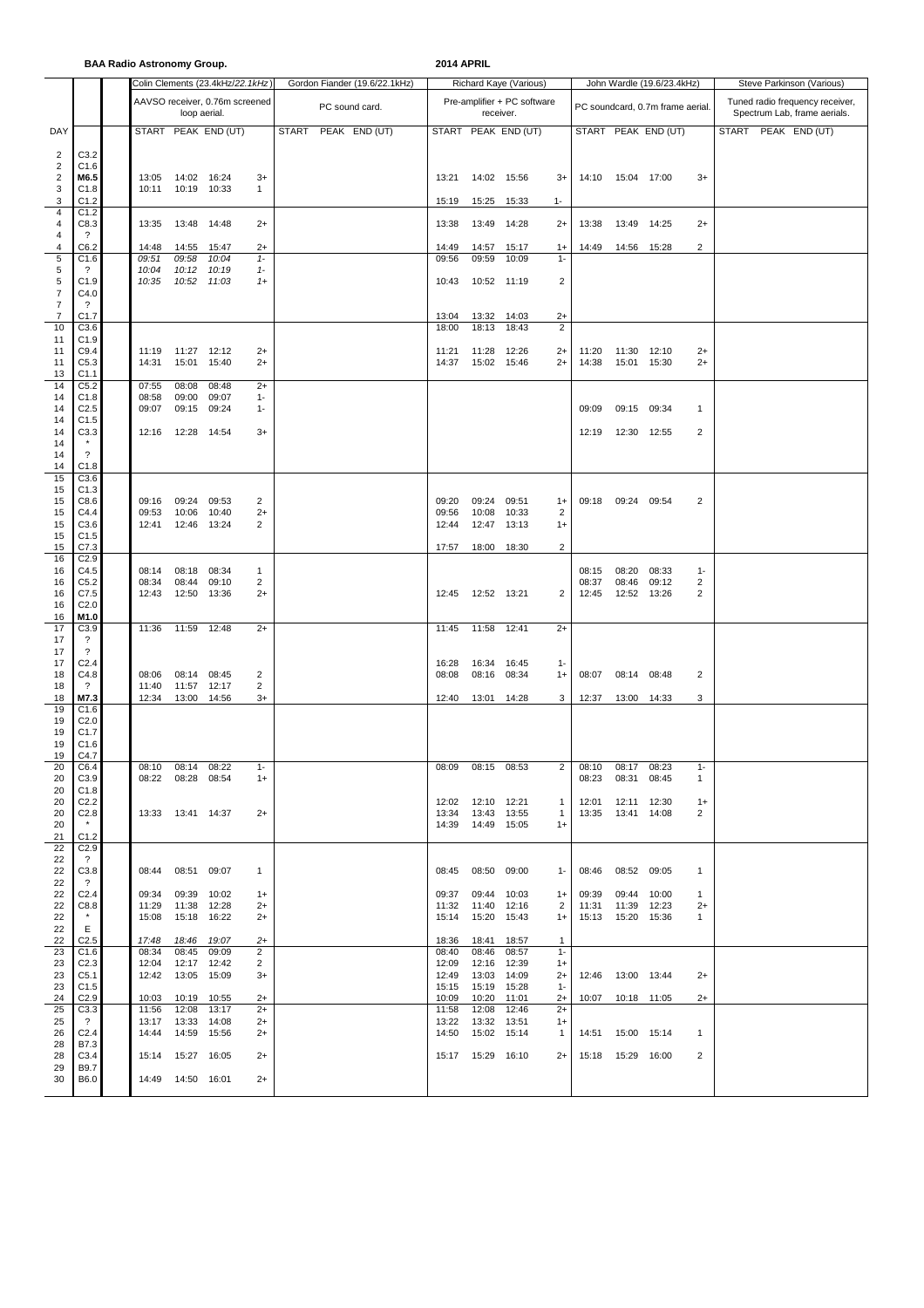**BAA Radio Astronomy Group. 2014 APRIL**

|                                          |                                              |                   |                              | Colin Clements (23.4kHz/22.1kHz) |               | Gordon Fiander (19.6/22.1kHz) |  |                   | Richard Kaye (Various)      |                     |                                |                     | John Wardle (19.6/23.4kHz)         |                     | Steve Parkinson (Various)                                       |                     |  |  |
|------------------------------------------|----------------------------------------------|-------------------|------------------------------|----------------------------------|---------------|-------------------------------|--|-------------------|-----------------------------|---------------------|--------------------------------|---------------------|------------------------------------|---------------------|-----------------------------------------------------------------|---------------------|--|--|
|                                          |                                              |                   | loop aerial.                 | AAVSO receiver, 0.76m screened   |               | PC sound card.                |  | receiver.         | Pre-amplifier + PC software |                     |                                |                     | PC soundcard, 0.7m frame aerial.   |                     | Tuned radio frequency receiver,<br>Spectrum Lab, frame aerials. |                     |  |  |
| DAY                                      |                                              |                   |                              | START PEAK END (UT)              |               | <b>START</b><br>PEAK END (UT) |  |                   |                             | START PEAK END (UT) |                                |                     |                                    | START PEAK END (UT) |                                                                 | START PEAK END (UT) |  |  |
| $\overline{2}$                           | C3.2                                         |                   |                              |                                  |               |                               |  |                   |                             |                     |                                |                     |                                    |                     |                                                                 |                     |  |  |
| $\overline{c}$<br>$\sqrt{2}$             | C1.6<br>M6.5                                 | 13:05             | 14:02 16:24                  |                                  | $3+$          |                               |  | 13:21             | 14:02 15:56                 |                     | $3+$                           | 14:10               | 15:04 17:00                        |                     | $3+$                                                            |                     |  |  |
| $\mathsf 3$<br>$\ensuremath{\mathsf{3}}$ | C1.8<br>C1.2                                 | 10:11             | 10:19 10:33                  |                                  | $\mathbf{1}$  |                               |  | 15:19             | 15:25                       | 15:33               | $1 -$                          |                     |                                    |                     |                                                                 |                     |  |  |
| $\overline{4}$                           | C1.2                                         |                   |                              |                                  |               |                               |  |                   |                             |                     |                                |                     |                                    |                     |                                                                 |                     |  |  |
| 4<br>4                                   | C8.3<br>$\cdot$                              | 13:35             | 13:48                        | 14:48                            | $2+$          |                               |  | 13:38             | 13:49                       | 14:28               | $2+$                           | 13:38               | 13:49                              | 14:25               | $2+$                                                            |                     |  |  |
| 4<br>$\sqrt{5}$                          | C6.2<br>C1.6                                 | 14:48<br>09:51    | 14:55<br>09:58               | 15:47<br>10:04                   | $2+$<br>$1 -$ |                               |  | 14:49<br>09:56    | 14:57<br>09:59              | 15:17<br>10:09      | $1+$<br>$1 -$                  | 14:49               | 14:56 15:28                        |                     | 2                                                               |                     |  |  |
| 5<br>$\sqrt{5}$                          | $\cdot$<br>C1.9                              | 10:04<br>10:35    | 10:12<br>10:52               | 10:19<br>11:03                   | $1 -$<br>$1+$ |                               |  | 10:43             | 10:52 11:19                 |                     | 2                              |                     |                                    |                     |                                                                 |                     |  |  |
| $\overline{7}$                           | C4.0                                         |                   |                              |                                  |               |                               |  |                   |                             |                     |                                |                     |                                    |                     |                                                                 |                     |  |  |
| $\overline{7}$<br>$\overline{7}$         | $\overline{\cdot}$<br>C1.7                   |                   |                              |                                  |               |                               |  | 13:04             | 13:32                       | 14:03               | $2+$                           |                     |                                    |                     |                                                                 |                     |  |  |
| 10<br>11                                 | C3.6<br>C1.9                                 |                   |                              |                                  |               |                               |  | 18:00             | 18:13                       | 18:43               | $\overline{2}$                 |                     |                                    |                     |                                                                 |                     |  |  |
| 11<br>11                                 | C9.4<br>C5.3                                 | 11:19<br>14:31    | 11:27 12:12<br>15:01         | 15:40                            | $2+$<br>$2+$  |                               |  | 11:21<br>14:37    | 11:28<br>15:02 15:46        | 12:26               | $2+$<br>$2+$                   | 11:20<br>14:38      | 11:30<br>15:01                     | 12:10<br>15:30      | $2+$<br>$2+$                                                    |                     |  |  |
| 13                                       | C1.1                                         |                   |                              |                                  |               |                               |  |                   |                             |                     |                                |                     |                                    |                     |                                                                 |                     |  |  |
| 14<br>14                                 | C <sub>5.2</sub><br>C1.8                     | 07:55<br>08:58    | 08:08<br>09:00               | 08:48<br>09:07                   | $2+$<br>$1 -$ |                               |  |                   |                             |                     |                                |                     |                                    |                     |                                                                 |                     |  |  |
| 14<br>14                                 | C <sub>2.5</sub><br>C1.5                     | 09:07             | 09:15                        | 09:24                            | $1 -$         |                               |  |                   |                             |                     |                                | 09:09               | 09:15                              | 09:34               | $\mathbf{1}$                                                    |                     |  |  |
| 14<br>14                                 | C3.3                                         | 12:16             | 12:28  14:54                 |                                  | $3+$          |                               |  |                   |                             |                     |                                | 12:19               | 12:30                              | 12:55               | 2                                                               |                     |  |  |
| 14                                       | $\overline{\mathcal{E}}$                     |                   |                              |                                  |               |                               |  |                   |                             |                     |                                |                     |                                    |                     |                                                                 |                     |  |  |
| 14<br>15                                 | C1.8<br>C3.6                                 |                   |                              |                                  |               |                               |  |                   |                             |                     |                                |                     |                                    |                     |                                                                 |                     |  |  |
| 15<br>15                                 | C1.3<br>C8.6                                 | 09:16             | 09:24                        | 09:53                            | 2             |                               |  | 09:20             | 09:24                       | 09:51               | $1+$                           | 09:18               | 09:24 09:54                        |                     | 2                                                               |                     |  |  |
| 15<br>15                                 | C4.4<br>C3.6                                 | 09:53<br>12:41    | 10:06<br>12:46               | 10:40<br>13:24                   | $2+$<br>2     |                               |  | 09:56<br>12:44    | 10:08<br>12:47              | 10:33<br>13:13      | 2<br>$1+$                      |                     |                                    |                     |                                                                 |                     |  |  |
| 15                                       | C1.5                                         |                   |                              |                                  |               |                               |  |                   |                             |                     |                                |                     |                                    |                     |                                                                 |                     |  |  |
| 15<br>16                                 | C7.3<br>C <sub>2.9</sub>                     |                   |                              |                                  |               |                               |  | 17:57             | 18:00 18:30                 |                     | 2                              |                     |                                    |                     |                                                                 |                     |  |  |
| 16<br>16                                 | C4.5<br>C5.2                                 | 08:14<br>08:34    | 08:18<br>08:44               | 08:34<br>09:10                   | 1<br>2        |                               |  |                   |                             |                     |                                | 08:15<br>08:37      | 08:20<br>08:46                     | 08:33<br>09:12      | $1 -$<br>2                                                      |                     |  |  |
| 16<br>16                                 | C7.5<br>C <sub>2.0</sub>                     | 12:43             | 12:50 13:36                  |                                  | $2+$          |                               |  | 12:45             | 12:52 13:21                 |                     | 2                              | 12:45               | 12:52 13:26                        |                     | 2                                                               |                     |  |  |
| 16<br>17                                 | M1.0<br>C3.9                                 | 11:36             | 11:59                        | 12:48                            | $2+$          |                               |  | 11:45             | 11:58                       | 12:41               | $2+$                           |                     |                                    |                     |                                                                 |                     |  |  |
| 17                                       | $\overline{\cdot}$                           |                   |                              |                                  |               |                               |  |                   |                             |                     |                                |                     |                                    |                     |                                                                 |                     |  |  |
| 17<br>17                                 | $\overline{\mathcal{L}}$<br>C <sub>2.4</sub> |                   |                              |                                  |               |                               |  | 16:28             | 16:34                       | 16:45               | $1 -$                          |                     |                                    |                     |                                                                 |                     |  |  |
| 18<br>18                                 | C4.8<br>$\gamma$                             | 08:06<br>11:40    | 08:14<br>11:57               | 08:45<br>12:17                   | 2<br>2        |                               |  | 08:08             | 08:16                       | 08:34               | $1+$                           | 08:07               | 08:14                              | 08:48               | 2                                                               |                     |  |  |
| 18<br>19                                 | M7.3<br>C1.6                                 | 12:34             | 13:00                        | 14:56                            | $3+$          |                               |  | 12:40             | 13:01                       | 14:28               | 3                              | 12:37               | 13:00 14:33                        |                     | 3                                                               |                     |  |  |
| 19                                       | C <sub>2.0</sub>                             |                   |                              |                                  |               |                               |  |                   |                             |                     |                                |                     |                                    |                     |                                                                 |                     |  |  |
| 19<br>19                                 | C <sub>1.7</sub><br>C1.6                     |                   |                              |                                  |               |                               |  |                   |                             |                     |                                |                     |                                    |                     |                                                                 |                     |  |  |
| 19<br>20                                 | C4.7<br>C6.4                                 | 08:10 08:14 08:22 |                              |                                  |               |                               |  | 08:09 08:15 08:53 |                             |                     |                                | 2 08:10 08:17 08:23 |                                    |                     |                                                                 |                     |  |  |
| 20<br>20                                 | C3.9<br>C1.8                                 |                   | 08:22 08:28 08:54            |                                  | $1+$          |                               |  |                   |                             |                     |                                |                     | 08:23 08:31 08:45                  |                     | $\mathbf{1}$                                                    |                     |  |  |
| 20<br>20                                 | C <sub>2.2</sub><br>C2.8                     |                   | 13:33  13:41  14:37          |                                  | $2+$          |                               |  | 12:02<br>13:34    | 12:10 12:21<br>13:43 13:55  |                     | $\mathbf{1}$<br>$\overline{1}$ | 12:01               | 12:11 12:30<br>13:35  13:41  14:08 |                     | $1+$<br>2                                                       |                     |  |  |
| 20                                       | $\star$                                      |                   |                              |                                  |               |                               |  |                   | 14:39  14:49  15:05         |                     | $1+$                           |                     |                                    |                     |                                                                 |                     |  |  |
| 21<br>22                                 | C1.2<br>C <sub>2.9</sub>                     |                   |                              |                                  |               |                               |  |                   |                             |                     |                                |                     |                                    |                     |                                                                 |                     |  |  |
| 22<br>22                                 | $\ddot{\phantom{0}}$<br>C3.8                 |                   | 08:44 08:51 09:07            |                                  | $\mathbf{1}$  |                               |  |                   | 08:45 08:50 09:00           |                     | $1 -$                          |                     | 08:46 08:52 09:05                  |                     | $\mathbf{1}$                                                    |                     |  |  |
| 22<br>22                                 | $\overline{?}$<br>C2.4                       | 09:34             | 09:39 10:02                  |                                  | $1+$          |                               |  | 09:37             | 09:44                       | 10:03               | $1+$                           | 09:39               | 09:44                              | 10:00               | $\mathbf{1}$                                                    |                     |  |  |
| 22                                       | C8.8<br>$\star$                              | 11:29             | 11:38 12:28                  |                                  | $2+$          |                               |  | 11:32             | 11:40                       | 12:16               | 2                              | 11:31               | 11:39 12:23                        |                     | $2+$                                                            |                     |  |  |
| 22<br>22                                 | Ε                                            | 15:08             | 15:18 16:22                  |                                  | $2+$          |                               |  | 15:14             | 15:20                       | 15:43               | $1+$                           |                     | 15:13  15:20  15:36                |                     | 1                                                               |                     |  |  |
| 22<br>23                                 | C <sub>2.5</sub><br>C1.6                     | 17:48<br>08:34    | 18:46 19:07<br>08:45         | 09:09                            | $2+$<br>2     |                               |  | 18:36<br>08:40    | 18:41<br>08:46              | 18:57<br>08:57      | $\mathbf{1}$<br>$1 -$          |                     |                                    |                     |                                                                 |                     |  |  |
| 23<br>23                                 | C <sub>2.3</sub><br>C5.1                     | 12:04<br>12:42    | 12:17 12:42<br>13:05 15:09   |                                  | 2<br>3+       |                               |  | 12:09<br>12:49    | 12:16 12:39<br>13:03 14:09  |                     | $1+$<br>$2+$                   |                     | 12:46  13:00  13:44                |                     | $2+$                                                            |                     |  |  |
| 23                                       | C1.5                                         |                   |                              |                                  |               |                               |  | 15:15             | 15:19 15:28                 |                     | $1 -$                          |                     |                                    |                     |                                                                 |                     |  |  |
| 24<br>25                                 | C <sub>2.9</sub><br>C3.3                     | 11:56             | 10:03  10:19  10:55<br>12:08 | 13:17                            | $2+$<br>$2+$  |                               |  | 10:09<br>11:58    | 10:20<br>12:08              | 11:01<br>12:46      | $2+$<br>$2+$                   |                     | 10:07  10:18  11:05                |                     | $2+$                                                            |                     |  |  |
| 25<br>26                                 | $\overline{\mathcal{L}}$<br>C <sub>2.4</sub> | 13:17<br>14:44    | 13:33<br>14:59 15:56         | 14:08                            | $2+$<br>$2+$  |                               |  | 13:22<br>14:50    | 13:32<br>15:02 15:14        | 13:51               | $1+$<br>$\mathbf{1}$           |                     | 14:51  15:00  15:14                |                     | $\mathbf{1}$                                                    |                     |  |  |
| 28<br>28                                 | B7.3<br>C3.4                                 |                   | 15:14  15:27  16:05          |                                  | $2+$          |                               |  |                   | 15:17  15:29  16:10         |                     | $2+$                           |                     | 15:18  15:29  16:00                |                     | 2                                                               |                     |  |  |
| 29                                       | B9.7                                         |                   |                              |                                  |               |                               |  |                   |                             |                     |                                |                     |                                    |                     |                                                                 |                     |  |  |
| 30                                       | B6.0                                         |                   | 14:49  14:50  16:01          |                                  | $2+$          |                               |  |                   |                             |                     |                                |                     |                                    |                     |                                                                 |                     |  |  |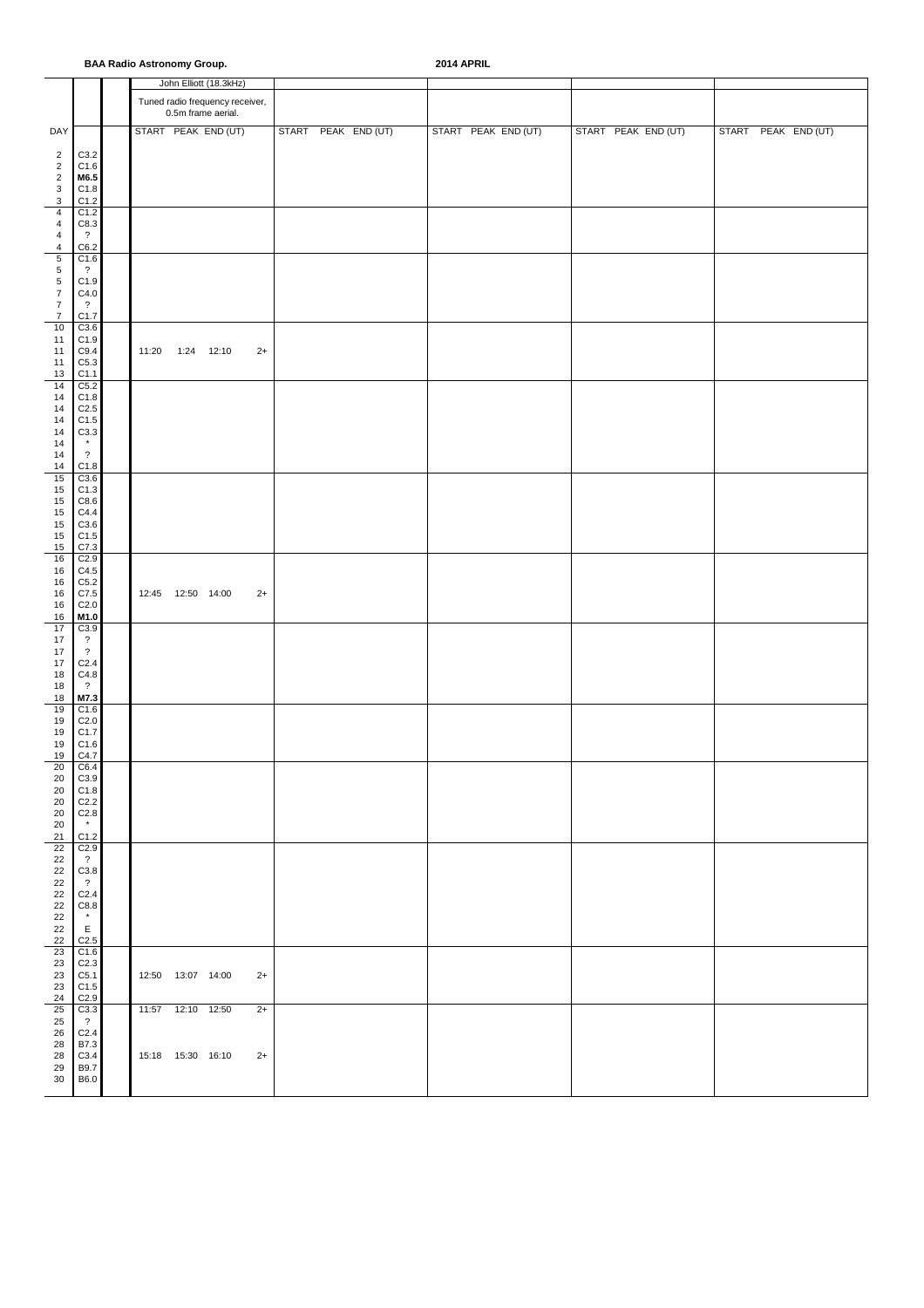#### **BAA Radio Astronomy Group. 2014 APRIL**

|                                      |                                              |                     | John Elliott (18.3kHz)                                |                     |                     |                     |                     |
|--------------------------------------|----------------------------------------------|---------------------|-------------------------------------------------------|---------------------|---------------------|---------------------|---------------------|
|                                      |                                              |                     | Tuned radio frequency receiver,<br>0.5m frame aerial. |                     |                     |                     |                     |
| DAY                                  |                                              |                     | START PEAK END (UT)                                   | START PEAK END (UT) | START PEAK END (UT) | START PEAK END (UT) | START PEAK END (UT) |
| $\overline{\mathbf{c}}$              | C3.2                                         |                     |                                                       |                     |                     |                     |                     |
| $\sqrt{2}$                           | C1.6                                         |                     |                                                       |                     |                     |                     |                     |
| $\sqrt{2}$<br>$\mathsf 3$            | M6.5<br>C1.8                                 |                     |                                                       |                     |                     |                     |                     |
| 3                                    | C1.2                                         |                     |                                                       |                     |                     |                     |                     |
| 4<br>$\overline{4}$                  | C1.2<br>C8.3                                 |                     |                                                       |                     |                     |                     |                     |
| $\overline{4}$                       | $\overline{\mathcal{L}}$                     |                     |                                                       |                     |                     |                     |                     |
| $\overline{4}$<br>$\sqrt{5}$         | C6.2<br>C1.6                                 |                     |                                                       |                     |                     |                     |                     |
| $\sqrt{5}$                           | $\overline{\cdot}$                           |                     |                                                       |                     |                     |                     |                     |
| $\sqrt{5}$                           | C1.9                                         |                     |                                                       |                     |                     |                     |                     |
| $\boldsymbol{7}$<br>$\boldsymbol{7}$ | C4.0<br>$\overline{\cdot}$                   |                     |                                                       |                     |                     |                     |                     |
| $\overline{7}$                       | C1.7                                         |                     |                                                       |                     |                     |                     |                     |
| $10$<br>11                           | C3.6<br>C1.9                                 |                     |                                                       |                     |                     |                     |                     |
| 11                                   | C9.4                                         | 11:20               | 1:24 12:10<br>$2+$                                    |                     |                     |                     |                     |
| 11<br>$13$                           | C5.3<br>C1.1                                 |                     |                                                       |                     |                     |                     |                     |
| 14                                   | C5.2                                         |                     |                                                       |                     |                     |                     |                     |
| 14<br>14                             | C1.8<br>C <sub>2.5</sub>                     |                     |                                                       |                     |                     |                     |                     |
| 14                                   | C1.5                                         |                     |                                                       |                     |                     |                     |                     |
| 14<br>14                             | C3.3                                         |                     |                                                       |                     |                     |                     |                     |
| 14                                   | $\overline{\cdot}$                           |                     |                                                       |                     |                     |                     |                     |
| 14<br>15                             | C1.8<br>C3.6                                 |                     |                                                       |                     |                     |                     |                     |
| 15                                   | C1.3                                         |                     |                                                       |                     |                     |                     |                     |
| 15                                   | C8.6                                         |                     |                                                       |                     |                     |                     |                     |
| 15<br>15                             | C4.4<br>C3.6                                 |                     |                                                       |                     |                     |                     |                     |
| 15                                   | C1.5                                         |                     |                                                       |                     |                     |                     |                     |
| 15<br>16                             | C7.3<br>C2.9                                 |                     |                                                       |                     |                     |                     |                     |
| 16                                   | C4.5                                         |                     |                                                       |                     |                     |                     |                     |
| 16<br>16                             | C5.2<br>C7.5                                 | 12:45  12:50  14:00 | $2+$                                                  |                     |                     |                     |                     |
| 16                                   | C2.0                                         |                     |                                                       |                     |                     |                     |                     |
| 16<br>17                             | M1.0<br>C3.9                                 |                     |                                                       |                     |                     |                     |                     |
| 17                                   | $\ddot{\phantom{0}}$                         |                     |                                                       |                     |                     |                     |                     |
| 17<br>$17\,$                         | $\overline{\mathcal{E}}$<br>C <sub>2.4</sub> |                     |                                                       |                     |                     |                     |                     |
| $18\,$                               | C4.8                                         |                     |                                                       |                     |                     |                     |                     |
| 18<br>18                             | $\overline{\mathcal{E}}$<br>M7.3             |                     |                                                       |                     |                     |                     |                     |
| 19                                   | C1.6                                         |                     |                                                       |                     |                     |                     |                     |
| 19<br>19                             | C <sub>2.0</sub><br>C <sub>1.7</sub>         |                     |                                                       |                     |                     |                     |                     |
| 19                                   | C1.6                                         |                     |                                                       |                     |                     |                     |                     |
| 19<br>20                             | C4.7<br>C6.4                                 |                     |                                                       |                     |                     |                     |                     |
| 20                                   | C3.9                                         |                     |                                                       |                     |                     |                     |                     |
| 20<br>20                             | C1.8<br>C <sub>2.2</sub>                     |                     |                                                       |                     |                     |                     |                     |
| 20                                   | C <sub>2.8</sub>                             |                     |                                                       |                     |                     |                     |                     |
| 20<br>21                             | $\star$<br>C1.2                              |                     |                                                       |                     |                     |                     |                     |
| 22                                   | C <sub>2.9</sub>                             |                     |                                                       |                     |                     |                     |                     |
| 22<br>22                             | $\overline{?}$<br>C3.8                       |                     |                                                       |                     |                     |                     |                     |
| 22                                   | $\overline{\mathcal{L}}$                     |                     |                                                       |                     |                     |                     |                     |
| $22\,$<br>$22\,$                     | C <sub>2.4</sub><br>C8.8                     |                     |                                                       |                     |                     |                     |                     |
| $22\,$                               | $\star$                                      |                     |                                                       |                     |                     |                     |                     |
| $22\,$<br>22                         | $\mathsf E$<br>C2.5                          |                     |                                                       |                     |                     |                     |                     |
| 23                                   | C1.6                                         |                     |                                                       |                     |                     |                     |                     |
| 23<br>23                             | C <sub>2.3</sub><br>C5.1                     | 12:50  13:07  14:00 | $2+$                                                  |                     |                     |                     |                     |
| 23                                   | C1.5                                         |                     |                                                       |                     |                     |                     |                     |
| $24\,$                               | C2.9                                         |                     |                                                       |                     |                     |                     |                     |
| 25<br>$25\,$                         | C3.3<br>$\overline{?}$                       | 11:57  12:10  12:50 | $2+$                                                  |                     |                     |                     |                     |
| 26                                   | C <sub>2.4</sub>                             |                     |                                                       |                     |                     |                     |                     |
| 28<br>28                             | B7.3<br>C3.4                                 | 15:18  15:30  16:10 | $2+$                                                  |                     |                     |                     |                     |
| 29                                   | B9.7                                         |                     |                                                       |                     |                     |                     |                     |
| 30                                   | B6.0                                         |                     |                                                       |                     |                     |                     |                     |
|                                      |                                              |                     |                                                       |                     |                     |                     |                     |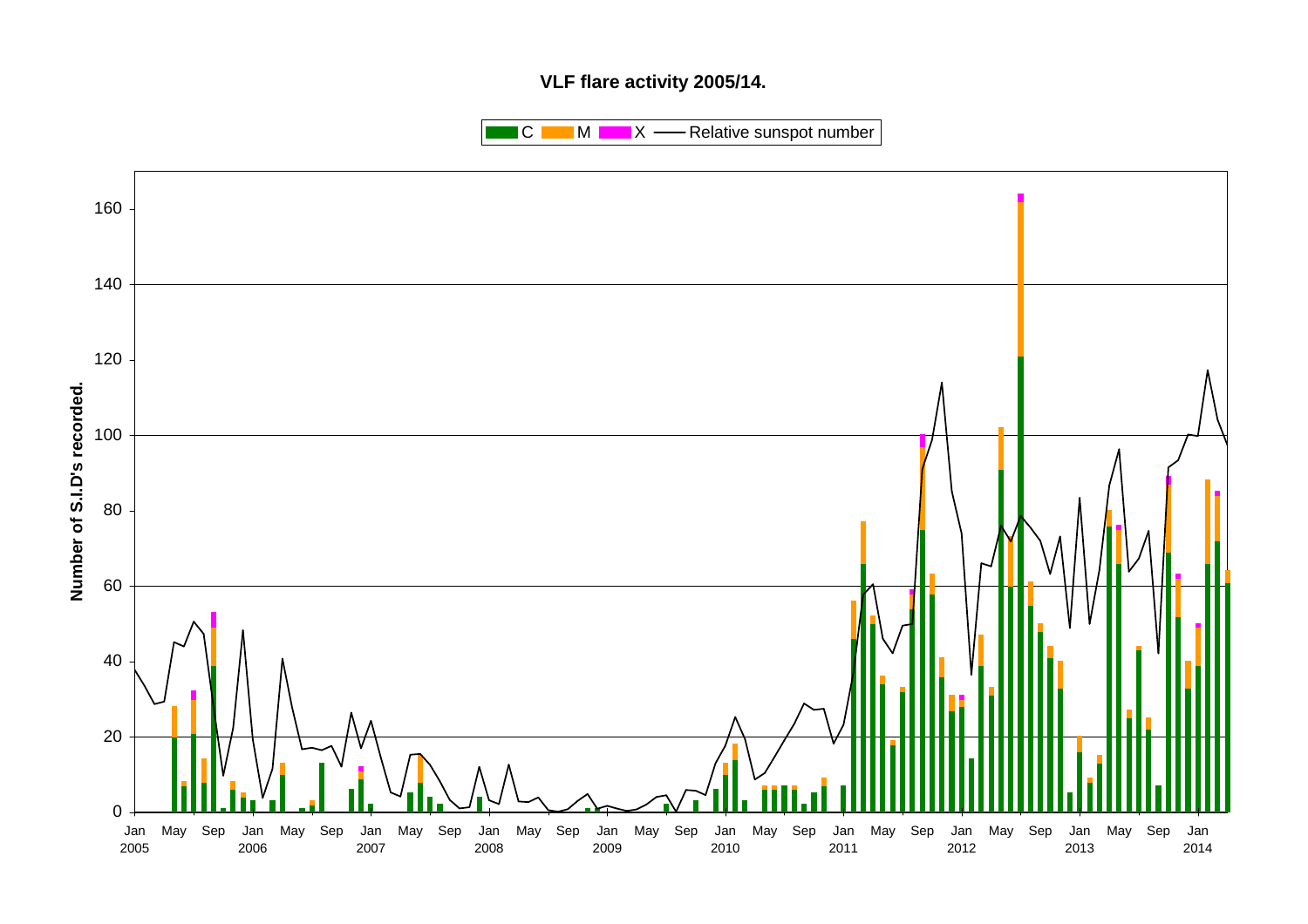# **VLF flare activity 2005/14.**

 $\blacksquare$  C  $\blacksquare$  M  $\blacksquare$   $\blacksquare$  X  $\blacksquare$  Relative sunspot number

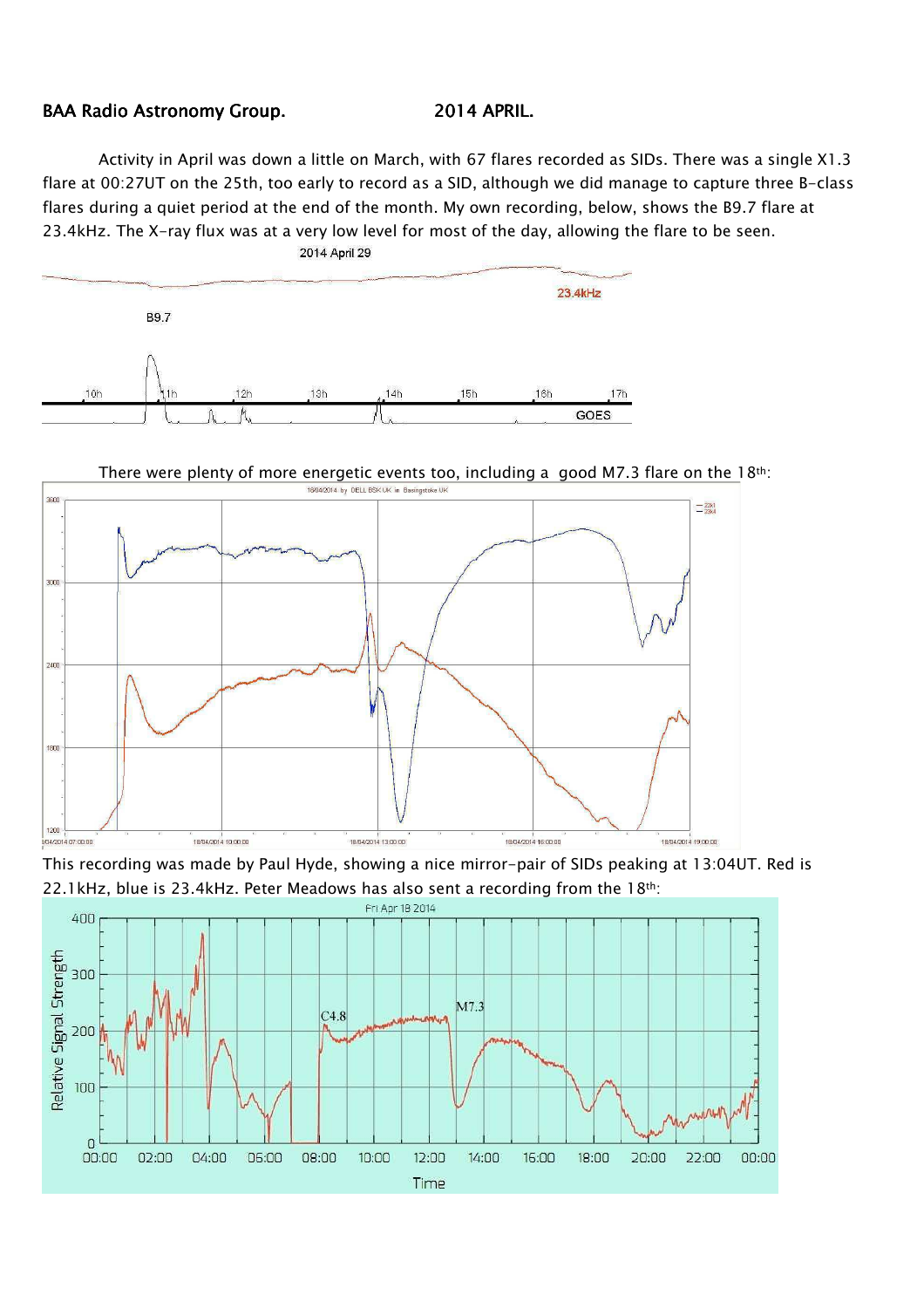# BAA Radio Astronomy Group. 2014 APRIL.

Activity in April was down a little on March, with 67 flares recorded as SIDs. There was a single X1.3 flare at 00:27UT on the 25th, too early to record as a SID, although we did manage to capture three B-class flares during a quiet period at the end of the month. My own recording, below, shows the B9.7 flare at 23.4kHz. The X-ray flux was at a very low level for most of the day, allowing the flare to be seen.



There were plenty of more energetic events too, including a good M7.3 flare on the 18th:



This recording was made by Paul Hyde, showing a nice mirror-pair of SIDs peaking at 13:04UT. Red is 22.1kHz, blue is 23.4kHz. Peter Meadows has also sent a recording from the 18th:

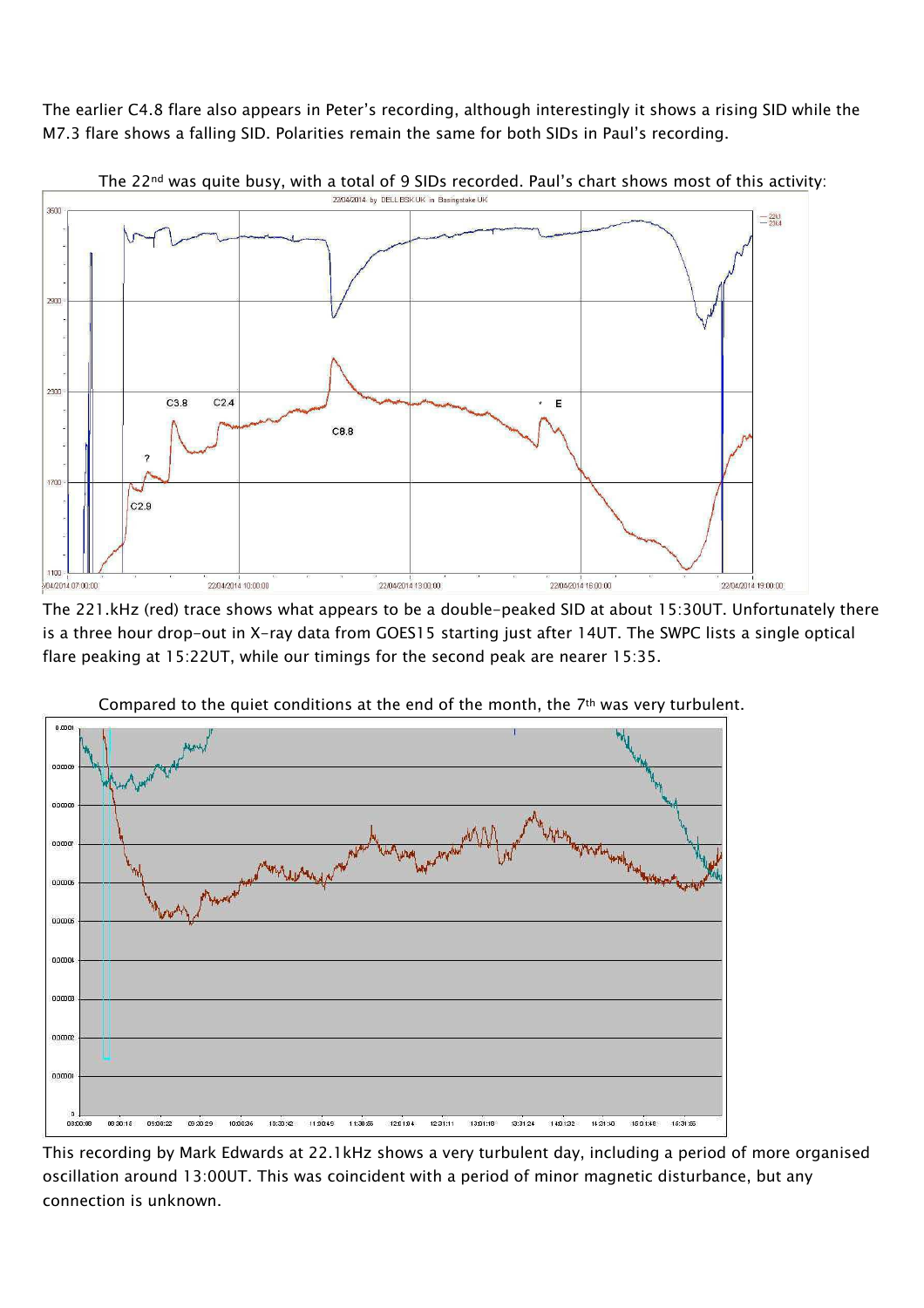The earlier C4.8 flare also appears in Peter's recording, although interestingly it shows a rising SID while the M7.3 flare shows a falling SID. Polarities remain the same for both SIDs in Paul's recording.



The 221.kHz (red) trace shows what appears to be a double-peaked SID at about 15:30UT. Unfortunately there is a three hour drop-out in X-ray data from GOES15 starting just after 14UT. The SWPC lists a single optical flare peaking at 15:22UT, while our timings for the second peak are nearer 15:35.



Compared to the quiet conditions at the end of the month, the  $7<sup>th</sup>$  was very turbulent.

This recording by Mark Edwards at 22.1kHz shows a very turbulent day, including a period of more organised oscillation around 13:00UT. This was coincident with a period of minor magnetic disturbance, but any connection is unknown.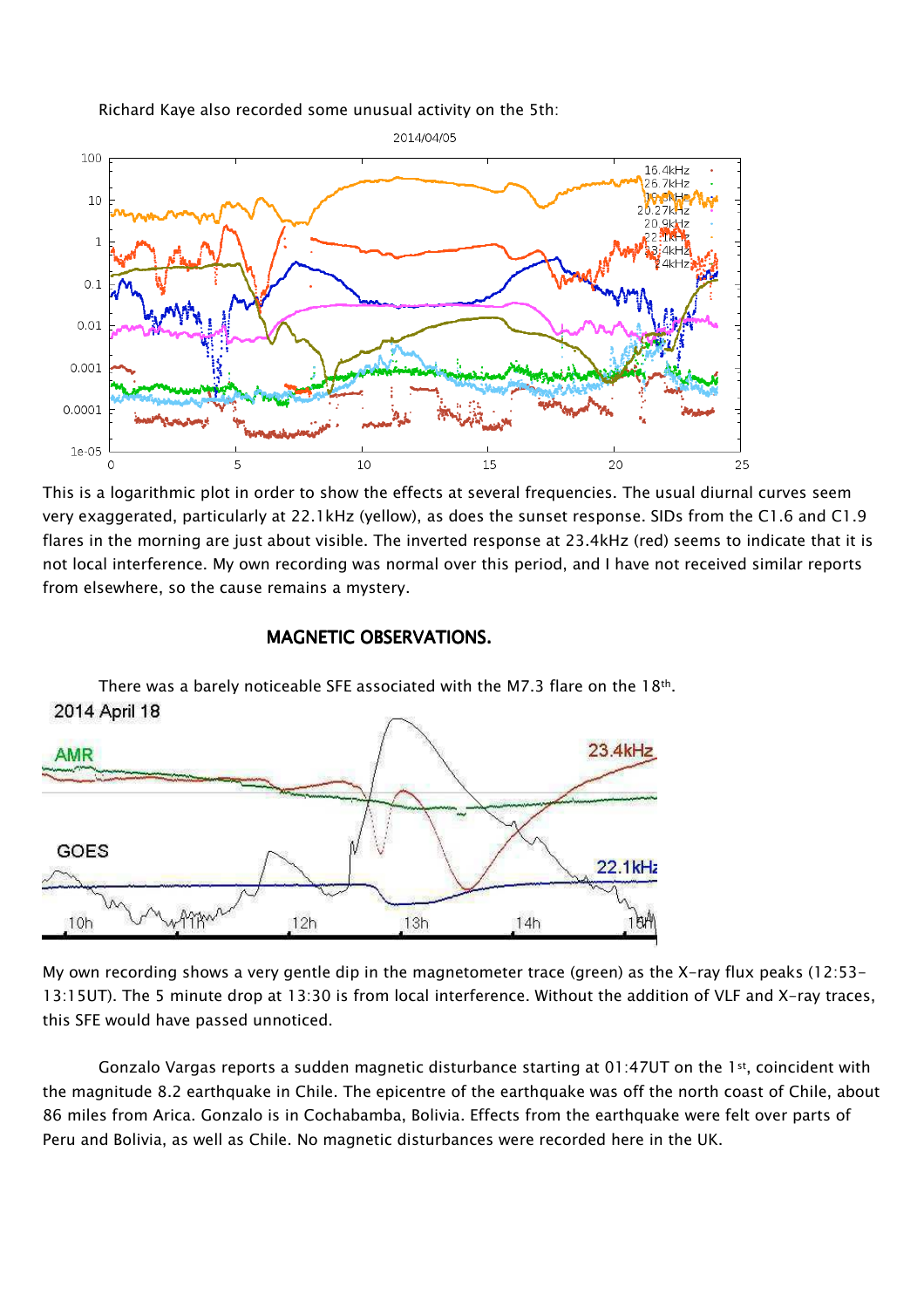Richard Kaye also recorded some unusual activity on the 5th:



This is a logarithmic plot in order to show the effects at several frequencies. The usual diurnal curves seem very exaggerated, particularly at 22.1kHz (yellow), as does the sunset response. SIDs from the C1.6 and C1.9 flares in the morning are just about visible. The inverted response at 23.4kHz (red) seems to indicate that it is not local interference. My own recording was normal over this period, and I have not received similar reports from elsewhere, so the cause remains a mystery.

## MAGNETIC OBSERVATIONS.



There was a barely noticeable SFE associated with the M7.3 flare on the 18th. 2014 April 18

My own recording shows a very gentle dip in the magnetometer trace (green) as the X-ray flux peaks (12:53- 13:15UT). The 5 minute drop at 13:30 is from local interference. Without the addition of VLF and X-ray traces, this SFE would have passed unnoticed.

Gonzalo Vargas reports a sudden magnetic disturbance starting at 01:47UT on the 1st, coincident with the magnitude 8.2 earthquake in Chile. The epicentre of the earthquake was off the north coast of Chile, about 86 miles from Arica. Gonzalo is in Cochabamba, Bolivia. Effects from the earthquake were felt over parts of Peru and Bolivia, as well as Chile. No magnetic disturbances were recorded here in the UK.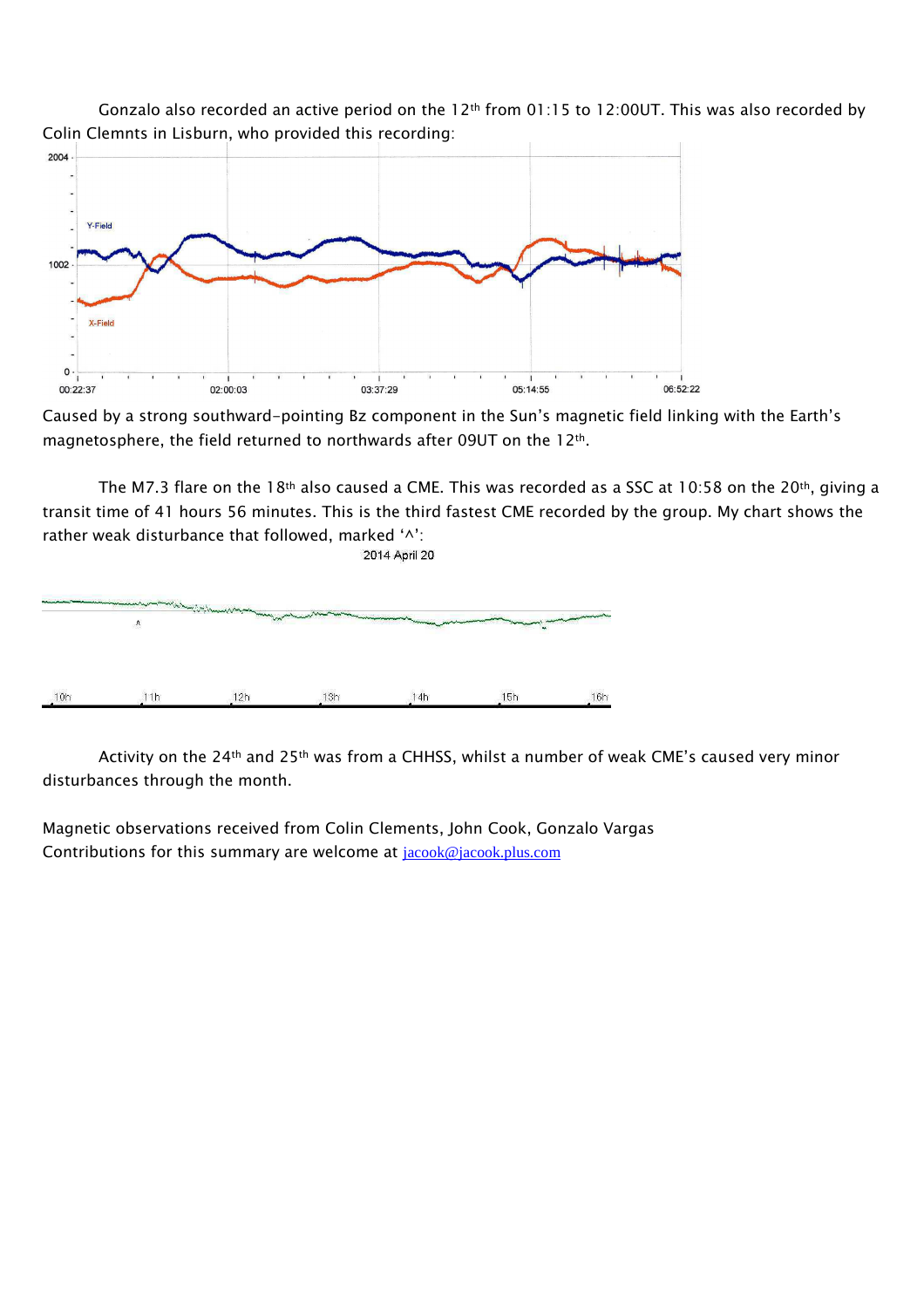



Caused by a strong southward-pointing Bz component in the Sun's magnetic field linking with the Earth's magnetosphere, the field returned to northwards after 09UT on the 12th.

The M7.3 flare on the 18<sup>th</sup> also caused a CME. This was recorded as a SSC at 10:58 on the 20<sup>th</sup>, giving a transit time of 41 hours 56 minutes. This is the third fastest CME recorded by the group. My chart shows the rather weak disturbance that followed, marked '^': 2014 April 20



Activity on the 24th and 25th was from a CHHSS, whilst a number of weak CME's caused very minor disturbances through the month.

Magnetic observations received from Colin Clements, John Cook, Gonzalo Vargas Contributions for this summary are welcome at jacook@jacook.plus.com